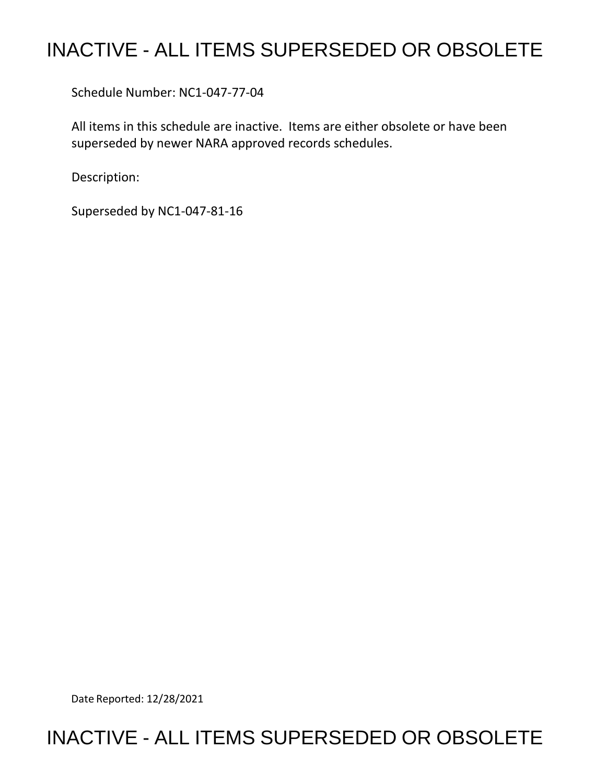# INACTIVE - ALL ITEMS SUPERSEDED OR OBSOLETE

Schedule Number: NC1-047-77-04

 All items in this schedule are inactive. Items are either obsolete or have been superseded by newer NARA approved records schedules.

Description:

Superseded by NC1-047-81-16

Date Reported: 12/28/2021

## INACTIVE - ALL ITEMS SUPERSEDED OR OBSOLETE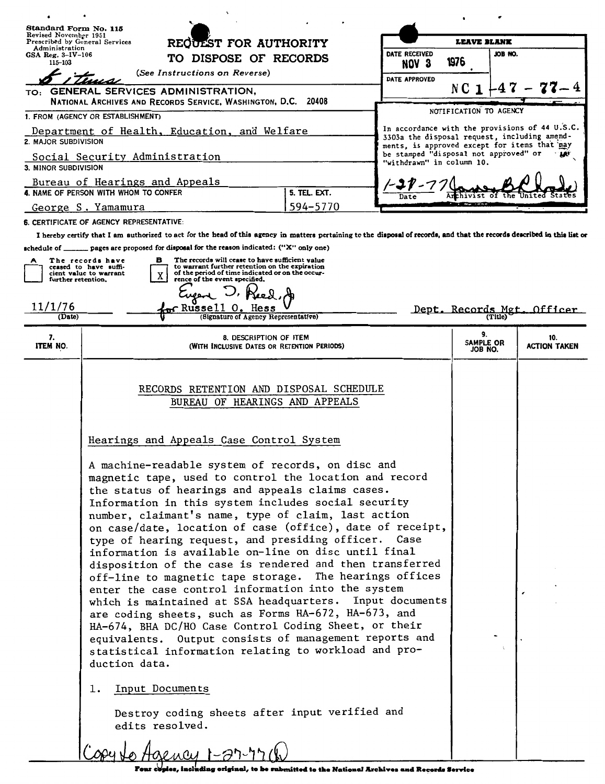| Standard Form No. 115<br>Revised November 1951                                                                               |                                                                                                                                                                                                                                                                                                                                                                                                                                                                                                                                                                                                                                                                                                                                                                                                                                                                                                                            |                                                                                                                                                                                        |          | <b>LEAVE BLANK</b>                                                                                                                             |                            |  |                            |
|------------------------------------------------------------------------------------------------------------------------------|----------------------------------------------------------------------------------------------------------------------------------------------------------------------------------------------------------------------------------------------------------------------------------------------------------------------------------------------------------------------------------------------------------------------------------------------------------------------------------------------------------------------------------------------------------------------------------------------------------------------------------------------------------------------------------------------------------------------------------------------------------------------------------------------------------------------------------------------------------------------------------------------------------------------------|----------------------------------------------------------------------------------------------------------------------------------------------------------------------------------------|----------|------------------------------------------------------------------------------------------------------------------------------------------------|----------------------------|--|----------------------------|
| Prescribed by General Services<br>Administration<br>GSA Reg. $3-\text{IV}-106$                                               |                                                                                                                                                                                                                                                                                                                                                                                                                                                                                                                                                                                                                                                                                                                                                                                                                                                                                                                            | REQUEST FOR AUTHORITY                                                                                                                                                                  |          | DATE RECEIVED                                                                                                                                  | JOB NO.                    |  |                            |
| 115-103                                                                                                                      |                                                                                                                                                                                                                                                                                                                                                                                                                                                                                                                                                                                                                                                                                                                                                                                                                                                                                                                            | TO DISPOSE OF RECORDS<br>(See Instructions on Reverse)                                                                                                                                 |          | NOV <sub>3</sub>                                                                                                                               | 1976                       |  |                            |
|                                                                                                                              |                                                                                                                                                                                                                                                                                                                                                                                                                                                                                                                                                                                                                                                                                                                                                                                                                                                                                                                            |                                                                                                                                                                                        |          | DATE APPROVED                                                                                                                                  | NC 1                       |  |                            |
|                                                                                                                              | TO: GENERAL SERVICES ADMINISTRATION,<br>NATIONAL ARCHIVES AND RECORDS SERVICE, WASHINGTON, D.C. 20408                                                                                                                                                                                                                                                                                                                                                                                                                                                                                                                                                                                                                                                                                                                                                                                                                      |                                                                                                                                                                                        |          |                                                                                                                                                |                            |  |                            |
|                                                                                                                              | 1. FROM (AGENCY OR ESTABLISHMENT)                                                                                                                                                                                                                                                                                                                                                                                                                                                                                                                                                                                                                                                                                                                                                                                                                                                                                          |                                                                                                                                                                                        |          |                                                                                                                                                | NOTIFICATION TO AGENCY     |  |                            |
| Department of Health, Education, and Welfare<br>2. MAJOR SUBDIVISION                                                         |                                                                                                                                                                                                                                                                                                                                                                                                                                                                                                                                                                                                                                                                                                                                                                                                                                                                                                                            |                                                                                                                                                                                        |          | In accordance with the provisions of 44 U.S.C.<br>3303a the disposal request, including amend-<br>ments, is approved except for items that may |                            |  |                            |
| be stamped "disposal not approved" or<br>Social Security Administration<br>"withdrawn" in column 10.<br>3. MINOR SUBDIVISION |                                                                                                                                                                                                                                                                                                                                                                                                                                                                                                                                                                                                                                                                                                                                                                                                                                                                                                                            |                                                                                                                                                                                        |          |                                                                                                                                                |                            |  |                            |
|                                                                                                                              | Bureau of Hearings and Appeals<br>5. TEL. EXT.<br>4. NAME OF PERSON WITH WHOM TO CONFER<br>Date                                                                                                                                                                                                                                                                                                                                                                                                                                                                                                                                                                                                                                                                                                                                                                                                                            |                                                                                                                                                                                        |          |                                                                                                                                                |                            |  |                            |
|                                                                                                                              | George S. Yamamura                                                                                                                                                                                                                                                                                                                                                                                                                                                                                                                                                                                                                                                                                                                                                                                                                                                                                                         |                                                                                                                                                                                        | 594-5770 |                                                                                                                                                |                            |  |                            |
|                                                                                                                              | 6. CERTIFICATE OF AGENCY REPRESENTATIVE:                                                                                                                                                                                                                                                                                                                                                                                                                                                                                                                                                                                                                                                                                                                                                                                                                                                                                   |                                                                                                                                                                                        |          |                                                                                                                                                |                            |  |                            |
|                                                                                                                              | I hereby certify that I am authorized to act for the head of this agency in matters pertaining to the disposal of records, and that the records described in this list or                                                                                                                                                                                                                                                                                                                                                                                                                                                                                                                                                                                                                                                                                                                                                  |                                                                                                                                                                                        |          |                                                                                                                                                |                            |  |                            |
|                                                                                                                              | schedule of ________ pages are proposed for disposal for the reason indicated: ("X" only one)                                                                                                                                                                                                                                                                                                                                                                                                                                                                                                                                                                                                                                                                                                                                                                                                                              |                                                                                                                                                                                        |          |                                                                                                                                                |                            |  |                            |
| further retention.                                                                                                           | The records have<br>в<br>ceased to have suffi-<br>cient value to warrant<br>X                                                                                                                                                                                                                                                                                                                                                                                                                                                                                                                                                                                                                                                                                                                                                                                                                                              | The records will cease to have sufficient value<br>to warrant further retention on the expiration<br>of the period of time indicated or on the occur-<br>rence of the event specified. |          |                                                                                                                                                |                            |  |                            |
|                                                                                                                              |                                                                                                                                                                                                                                                                                                                                                                                                                                                                                                                                                                                                                                                                                                                                                                                                                                                                                                                            |                                                                                                                                                                                        |          |                                                                                                                                                |                            |  |                            |
| 11/1/76                                                                                                                      | $\pi$ Russell                                                                                                                                                                                                                                                                                                                                                                                                                                                                                                                                                                                                                                                                                                                                                                                                                                                                                                              |                                                                                                                                                                                        |          |                                                                                                                                                |                            |  | Dept. Records Mgt. Officer |
| (Date)                                                                                                                       |                                                                                                                                                                                                                                                                                                                                                                                                                                                                                                                                                                                                                                                                                                                                                                                                                                                                                                                            | (Signature of Agency Representative)                                                                                                                                                   |          |                                                                                                                                                |                            |  |                            |
| 7.<br>ITEM NO.                                                                                                               |                                                                                                                                                                                                                                                                                                                                                                                                                                                                                                                                                                                                                                                                                                                                                                                                                                                                                                                            | 8. DESCRIPTION OF ITEM<br>(WITH INCLUSIVE DATES OR RETENTION PERIODS)                                                                                                                  |          |                                                                                                                                                | 9.<br>SAMPLE OR<br>JOB NO. |  | 10.<br><b>ACTION TAKEN</b> |
|                                                                                                                              | Hearings and Appeals Case Control System<br>A machine-readable system of records, on disc and<br>magnetic tape, used to control the location and record<br>the status of hearings and appeals claims cases.<br>Information in this system includes social security<br>number, claimant's name, type of claim, last action<br>on case/date, location of case (office), date of receipt,<br>type of hearing request, and presiding officer. Case<br>information is available on-line on disc until final<br>disposition of the case is rendered and then transferred<br>off-line to magnetic tape storage. The hearings offices<br>enter the case control information into the system<br>which is maintained at SSA headquarters. Input documents<br>are coding sheets, such as Forms HA-672, HA-673, and<br>HA-674, BHA DC/HO Case Control Coding Sheet, or their<br>equivalents. Output consists of management reports and | RECORDS RETENTION AND DISPOSAL SCHEDULE<br>BUREAU OF HEARINGS AND APPEALS                                                                                                              |          |                                                                                                                                                |                            |  |                            |

Four copies, including original, to be submitted to the National Archives and Records Service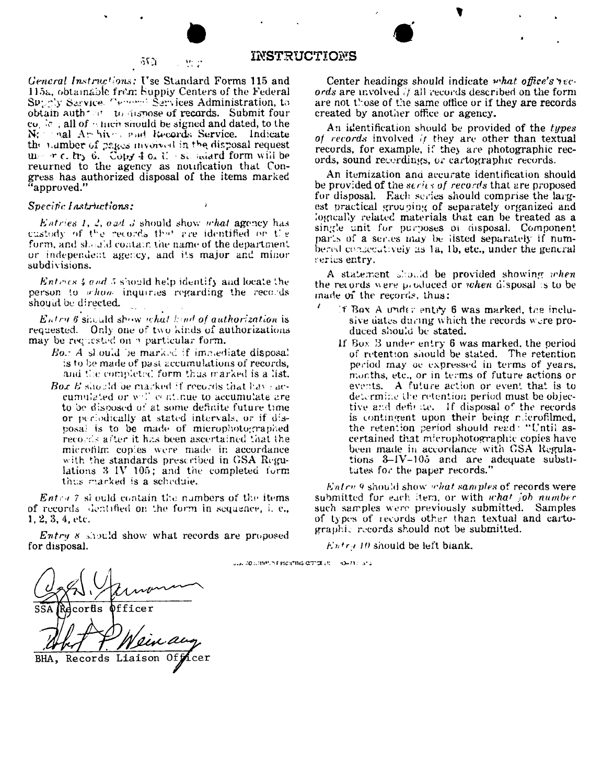#### INSTRUCTIONS 2. 歴史

General Instructions: Use Standard Forms 115 and 115a, obtainable from Supply Centers of the Federal Specify Sarvice. Center Sarvices Administration, to obtain authors to dispose of records. Submit four co  $\delta$  all of  $\gamma$  finent should be signed and dated, to the Not hall Ambives and Records Service. Indicate the number of pages involved in the disposal request u r.c. try 6. Copy 4 0. C. st. salard form will be returned to the agency as notification that Congress has authorized disposal of the items marked "approved."

-550)

### Specific Instructions:

*Entries 1, 2, ead 3* should show *what* agency has custody of the records that are identified on the form, and should contain the name of the department or independent agency, and its major and minor subdivisions.

*Entries 4 and 5* should help identify and locate the person to whow inquiries regarding the records should be directed.

Entry 6 should show what kind of authorization is requested. Only one of two kinds of authorizations may be requested on a particular form.

- Bor A should be marked if immediate disposal is to be made of past accumulations of records, and the completed form thus marked is a list.
- **Box B** should be marked if records that have accumulated or will continue to accumulate are to be disposed of at some definite future time or periodically at stated intervals, or if disposal is to be made of microphotographed records after it has been ascertained that the microfilm copies were made in accordance with the standards prescribed in GSA Regulations 3 IV 105; and the completed form thus marked is a schedule.

*Entra 7* should contain the numbers of the items of records dentified on the form in sequence, i. e.,  $1, 2, 3, 4,$  etc.

*Entry 8* should show what records are proposed for disposal.

Center headings should indicate what office's  $\gamma_{\epsilon}$ . ords are involved if all records described on the form are not those of the same office or if they are records created by another office or agency.

An identification should be provided of the types of records involved if they are other than textual records, for example, if they are photographic records, sound recordings, or cartographic records.

An itemization and accurate identification should be provided of the series of records that are proposed for disposal. Each series should comprise the largest practical grouping of separately organized and logically related materials that can be treated as a single unit for purposes or disposal. Component parts of a series may be listed separately if numbered consecutively as 1a, 1b, etc., under the general series entry.

A statement should be provided showing when the records were produced or *when* disposal is to be made of the records, thus:

- If Box A under entry 6 was marked, the inclusive dates during which the records were produced should be stated.
	- If Box B under entry 6 was marked, the period of retention should be stated. The retention period may be expressed in terms of years, months, etc., or in terms of future actions or events. A future action or event that is to determine the retention period must be objective and definite. If disposal of the records is contingent upon their being microfilmed, the retention period should read: "Until ascertained that microphotographic copies have been made in accordance with GSA Regulations  $3-\frac{1}{\sqrt{3}}$  and are adequate substitutes for the paper records.'

Entry 9 should show what samples of records were submitted for each item, or with what job number such samples were previously submitted. Samples of types of records other than textual and cartographic records should not be submitted.

 $E$ *ntra* 10 should be left biank.

Just 20 (URMPLINT Proteints drivide art = HO=71 / IShu

Officer corfis Records Liaison BHA,